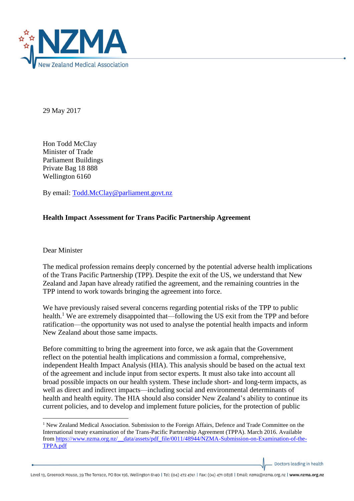

29 May 2017

Hon Todd McClay Minister of Trade Parliament Buildings Private Bag 18 888 Wellington 6160

By email: [Todd.McClay@parliament.govt.nz](mailto:Todd.McClay@parliament.govt.nz)

## **Health Impact Assessment for Trans Pacific Partnership Agreement**

Dear Minister

**.** 

The medical profession remains deeply concerned by the potential adverse health implications of the Trans Pacific Partnership (TPP). Despite the exit of the US, we understand that New Zealand and Japan have already ratified the agreement, and the remaining countries in the TPP intend to work towards bringing the agreement into force.

We have previously raised several concerns regarding potential risks of the TPP to public health.<sup>1</sup> We are extremely disappointed that—following the US exit from the TPP and before ratification—the opportunity was not used to analyse the potential health impacts and inform New Zealand about those same impacts.

Before committing to bring the agreement into force, we ask again that the Government reflect on the potential health implications and commission a formal, comprehensive, independent Health Impact Analysis (HIA). This analysis should be based on the actual text of the agreement and include input from sector experts. It must also take into account all broad possible impacts on our health system. These include short- and long-term impacts, as well as direct and indirect impacts—including social and environmental determinants of health and health equity. The HIA should also consider New Zealand's ability to continue its current policies, and to develop and implement future policies, for the protection of public

Doctors leading in health

<sup>&</sup>lt;sup>1</sup> New Zealand Medical Association. Submission to the Foreign Affairs, Defence and Trade Committee on the International treaty examination of the Trans-Pacific Partnership Agreement (TPPA). March 2016. Available from [https://www.nzma.org.nz/\\_\\_data/assets/pdf\\_file/0011/48944/NZMA-Submission-on-Examination-of-the-](https://www.nzma.org.nz/__data/assets/pdf_file/0011/48944/NZMA-Submission-on-Examination-of-the-TPPA.pdf)[TPPA.pdf](https://www.nzma.org.nz/__data/assets/pdf_file/0011/48944/NZMA-Submission-on-Examination-of-the-TPPA.pdf)